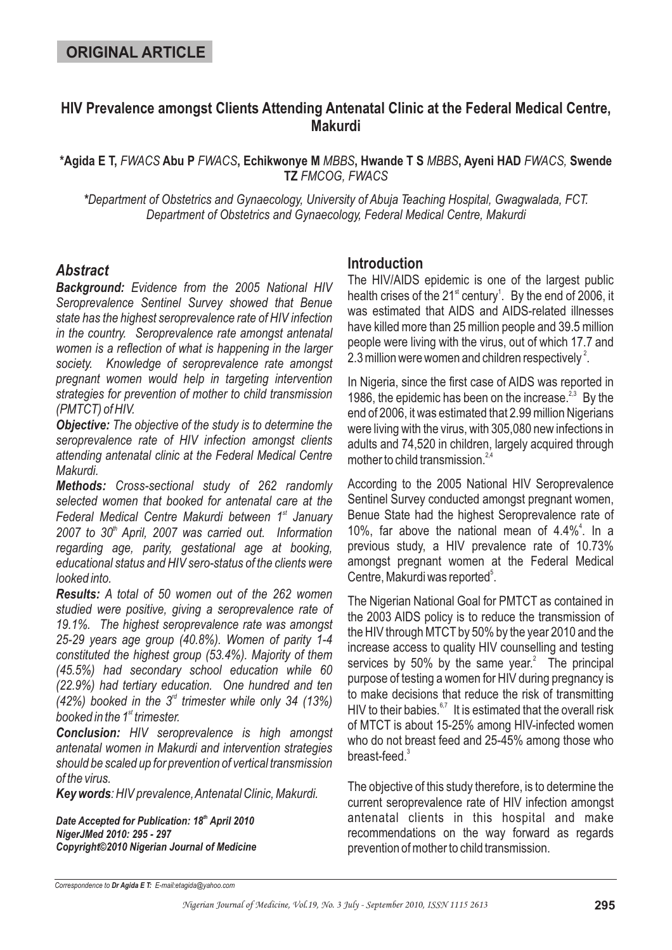# **HIV Prevalence amongst Clients Attending Antenatal Clinic at the Federal Medical Centre, Makurdi**

\*Agida E T, *FWACS* Abu P *FWACS*, Echikwonye M *MBBS*, Hwande T S *MBBS*, Ayeni HAD *FWACS,* Swende **TZ** *FMCOG, FWACS*

*Department of Obstetrics and Gynaecology, University of Abuja Teaching Hospital, Gwagwalada, FCT. \* Department of Obstetrics and Gynaecology, Federal Medical Centre, Makurdi*

# *Abstract*

*Background: Evidence from the 2005 National HIV Seroprevalence Sentinel Survey showed that Benue state has the highest seroprevalence rate of HIV infection in the country. Seroprevalence rate amongst antenatal women is a reflection of what is happening in the larger society. Knowledge of seroprevalence rate amongst pregnant women would help in targeting intervention strategies for prevention of mother to child transmission (PMTCT) of HIV.*

*Objective: The objective of the study is to determine the seroprevalence rate of HIV infection amongst clients attending antenatal clinic at the Federal Medical Centre Makurdi.*

*Methods: Cross-sectional study of 262 randomly selected women that booked for antenatal care at the* Federal Medical Centre Makurdi between 1<sup>st</sup> January 2007 to 30<sup>th</sup> April, 2007 was carried out. Information *regarding age, parity, gestational age at booking, educational status and HIV sero-status of the clients were looked into.*

*Results: A total of 50 women out of the 262 women studied were positive, giving a seroprevalence rate of 19.1%. The highest seroprevalence rate was amongst 25-29 years age group (40.8%). Women of parity 1-4 constituted the highest group (53.4%). Majority of them (45.5%) had secondary school education while 60 (22.9%) had tertiary education. One hundred and ten*  $(42%)$  booked in the 3<sup>d</sup> trimester while only 34 (13%) booked in the 1<sup>st</sup> trimester.

*Conclusion: HIV seroprevalence is high amongst antenatal women in Makurdi and intervention strategies should be scaled up for prevention of vertical transmission of the virus.*

*Key words : HIV prevalence,Antenatal Clinic, Makurdi.*

Date Accepted for Publication: 18<sup>th</sup> April 2010 *NigerJMed 2010: 295 - 297 Copyright©2010 Nigerian Journal of Medicine*

# **Introduction**

The HIV/AIDS epidemic is one of the largest public health crises of the 21 $^{\text{st}}$  century<sup>1</sup>. By the end of 2006, it was estimated that AIDS and AIDS-related illnesses have killed more than 25 million people and 39.5 million people were living with the virus, out of which 17.7 and 2.3 million were women and children respectively $^2$ .

In Nigeria, since the first case of AIDS was reported in 1986, the epidemic has been on the increase. $^{2,3}$  By the end of 2006, it was estimated that 2.99 million Nigerians were living with the virus, with 305,080 new infections in adults and 74,520 in children, largely acquired through mother to child transmission.<sup>2,4</sup>

According to the 2005 National HIV Seroprevalence Sentinel Survey conducted amongst pregnant women, Benue State had the highest Seroprevalence rate of 10%, far above the national mean of  $4.4\%^4$ . In a previous study, a HIV prevalence rate of 10.73% amongst pregnant women at the Federal Medical Centre, Makurdi was reported<sup>5</sup>.

The Nigerian National Goal for PMTCT as contained in the 2003 AIDS policy is to reduce the transmission of the HIV through MTCT by 50% by the year 2010 and the increase access to quality HIV counselling and testing services by 50% by the same year. $2$  The principal purpose of testing a women for HIV during pregnancy is to make decisions that reduce the risk of transmitting HIV to their babies. $67$  It is estimated that the overall risk of MTCT is about 15-25% among HIV-infected women who do not breast feed and 25-45% among those who breast-feed.<sup>3</sup>

The objective of this study therefore, is to determine the current seroprevalence rate of HIV infection amongst antenatal clients in this hospital and make recommendations on the way forward as regards prevention of mother to child transmission.

*Correspondence to E-mail:etagida@yahoo.com Dr Agida E T:*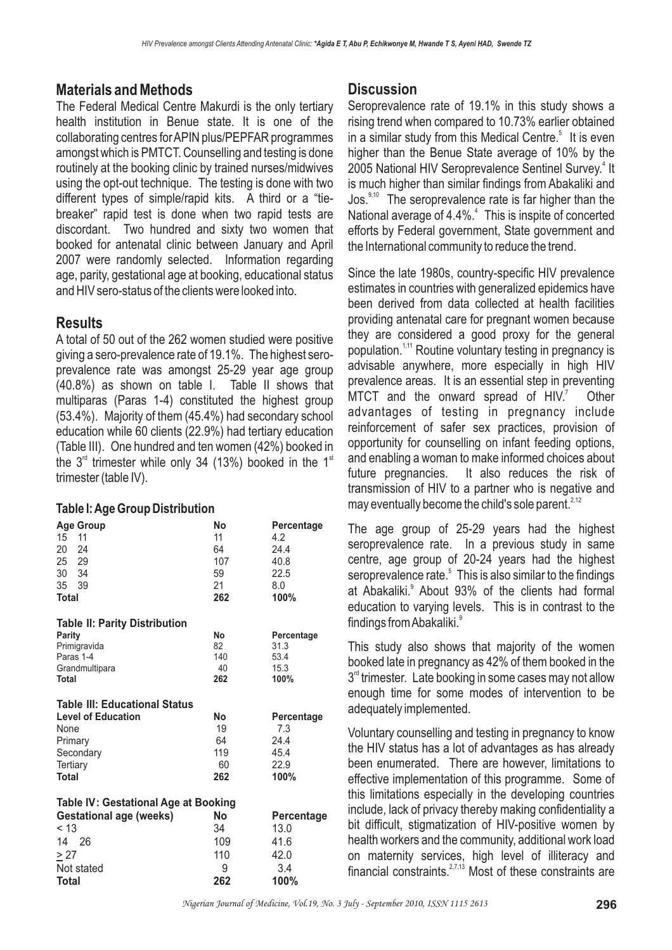# **Materials and Methods**

The Federal Medical Centre Makurdi is the only tertiary health institution in Benue state. It is one of the collaborating centres forAPIN plus/PEPFAR programmes amongst which is PMTCT. Counselling and testing is done routinely at the booking clinic by trained nurses/midwives using the opt-out technique. The testing is done with two different types of simple/rapid kits. A third or a "tiebreaker" rapid test is done when two rapid tests are discordant. Two hundred and sixty two women that booked for antenatal clinic between January and April 2007 were randomly selected. Information regarding age, parity, gestational age at booking, educational status and HIV sero-status of the clients were looked into.

### **Results**

A total of 50 out of the 262 women studied were positive giving a sero-prevalence rate of 19.1%. The highest seroprevalence rate was amongst 25-29 year age group (40.8%) as shown on table I. Table II shows that multiparas (Paras 1-4) constituted the highest group (53.4%). Majority of them (45.4%) had secondary school education while 60 clients (22.9%) had tertiary education (Table III). One hundred and ten women (42%) booked in the 3<sup>rd</sup> trimester while only 34 (13%) booked in the 1<sup>st</sup> trimester (table IV).

#### **Table I:Age Group Distribution**

| <b>Age Group</b>                     | No  | Percentage |
|--------------------------------------|-----|------------|
| 15 11                                | 11  | 4.2        |
| 20 24                                | 64  | 24.4       |
| 25 29                                | 107 | 40.8       |
| 30 34                                | 59  | 22.5       |
| 35 39                                | 21  | 8.0        |
| Total                                | 262 | 100%       |
| <b>Table II: Parity Distribution</b> |     |            |
| Parity                               | No  | Percentage |
| Primigravida                         | 82  | 31.3       |
| Paras 1-4                            | 140 | 53.4       |
| Grandmultipara                       | 40  | 15.3       |
| Total                                | 262 | 100%       |
| <b>Table III: Educational Status</b> |     |            |
| <b>Level of Education</b>            | No  | Percentage |
| None                                 | 19  | 7.3        |
| Primary                              | 64  | 24.4       |
| Secondary                            | 119 | 45.4       |
| Tertiary                             | 60  | 22.9       |
| <b>Total</b>                         | 262 | 100%       |
| Table IV: Gestational Age at Booking |     |            |
| <b>Gestational age (weeks)</b>       | No  | Percentage |
| < 13                                 | 34  | 13.0       |
| 14 26                                | 109 | 41.6       |
| > 27                                 | 110 | 42.0       |
| Not stated                           | 9   | 3.4        |
| Total                                | 262 | 100%       |

## **Discussion**

Seroprevalence rate of 19.1% in this study shows a rising trend when compared to 10.73% earlier obtained in a similar study from this Medical Centre. $5$  It is even higher than the Benue State average of 10% by the 2005 National HIV Seroprevalence Sentinel Survey.<sup>4</sup> It is much higher than similar findings from Abakaliki and Jos. $9,10$  The seroprevalence rate is far higher than the National average of 4.4%.<sup>4</sup> This is inspite of concerted efforts by Federal government, State government and the International community to reduce the trend.

Since the late 1980s, country-specific HIV prevalence estimates in countries with generalized epidemics have been derived from data collected at health facilities providing antenatal care for pregnant women because they are considered a good proxy for the general population.<sup>1,11</sup> Routine voluntary testing in pregnancy is advisable anywhere, more especially in high HIV prevalence areas. It is an essential step in preventing MTCT and the onward spread of  $HIV.<sup>7</sup>$  Other advantages of testing in pregnancy include reinforcement of safer sex practices, provision of opportunity for counselling on infant feeding options, and enabling a woman to make informed choices about future pregnancies. It also reduces the risk of transmission of HIV to a partner who is negative and may eventually become the child's sole parent.<sup>2,12</sup>

The age group of 25-29 years had the highest seroprevalence rate. In a previous study in same centre, age group of 20-24 years had the highest seroprevalence rate.<sup>5</sup> This is also similar to the findings at Abakaliki.<sup>9</sup> About 93% of the clients had formal education to varying levels. This is in contrast to the findings fromAbakaliki. 9

This study also shows that majority of the women booked late in pregnancy as 42% of them booked in the  $3<sup>rd</sup>$  trimester. Late booking in some cases may not allow enough time for some modes of intervention to be adequately implemented.

Voluntary counselling and testing in pregnancy to know the HIV status has a lot of advantages as has already been enumerated. There are however, limitations to effective implementation of this programme. Some of this limitations especially in the developing countries include, lack of privacy thereby making confidentiality a bit difficult, stigmatization of HIV-positive women by health workers and the community, additional work load on maternity services, high level of illiteracy and financial constraints. $27,13$  Most of these constraints are